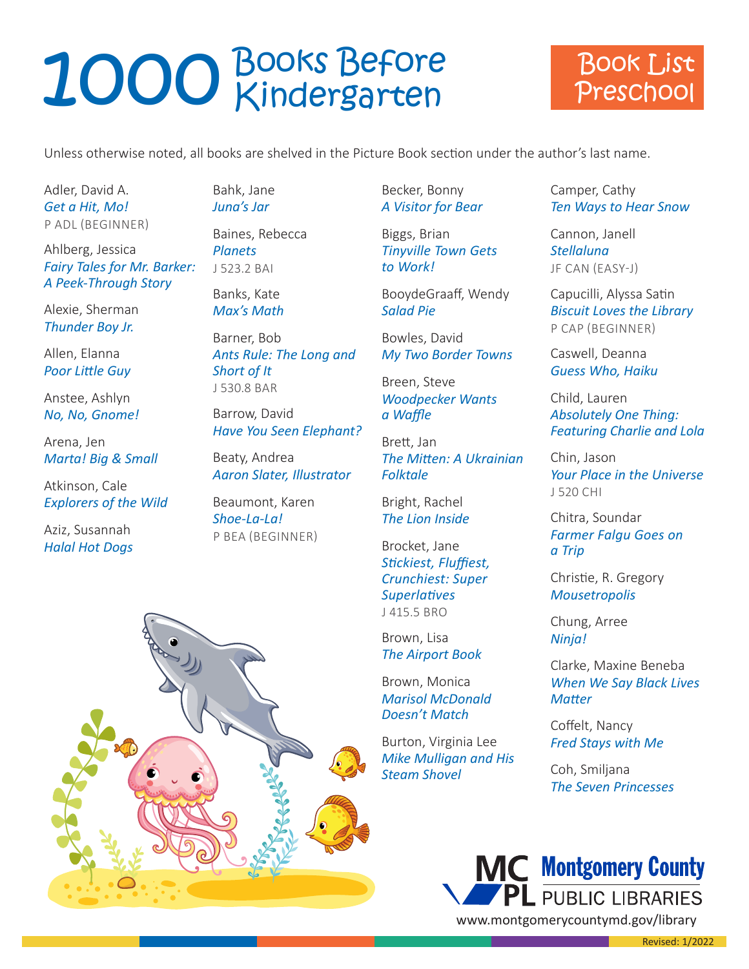#### Book List Preschool

Unless otherwise noted, all books are shelved in the Picture Book section under the author's last name.

Adler, David A. *Get a Hit, Mo!* P ADL (BEGINNER)

Ahlberg, Jessica *Fairy Tales for Mr. Barker: A Peek-Through Story*

Alexie, Sherman *Thunder Boy Jr.*

Allen, Elanna *Poor Little Guy*

Anstee, Ashlyn *No, No, Gnome!*

Arena, Jen *Marta! Big & Small*

Atkinson, Cale *Explorers of the Wild*

Aziz, Susannah *Halal Hot Dogs*

Bahk, Jane *Juna's Jar*

Baines, Rebecca *Planets* J 523.2 BAI

Banks, Kate *Max's Math*

Barner, Bob *Ants Rule: The Long and Short of It* J 530.8 BAR

Barrow, David *Have You Seen Elephant?*

Beaty, Andrea *Aaron Slater, Illustrator*

Beaumont, Karen *Shoe-La-La!* P BEA (BEGINNER)

Becker, Bonny *A Visitor for Bear*

Biggs, Brian *Tinyville Town Gets to Work!*

BooydeGraaff, Wendy *Salad Pie*

Bowles, David *My Two Border Towns*

Breen, Steve *Woodpecker Wants a Waffle*

Brett, Jan *The Mitten: A Ukrainian Folktale*

Bright, Rachel *The Lion Inside*

Brocket, Jane *Stickiest, Fluffiest, Crunchiest: Super Superlatives* J 415.5 BRO

Brown, Lisa *The Airport Book*

Brown, Monica *Marisol McDonald Doesn't Match*

Burton, Virginia Lee *Mike Mulligan and His Steam Shovel*

Camper, Cathy *Ten Ways to Hear Snow*

Cannon, Janell *Stellaluna* JF CAN (EASY-J)

Capucilli, Alyssa Satin *Biscuit Loves the Library* P CAP (BEGINNER)

Caswell, Deanna *Guess Who, Haiku*

Child, Lauren *Absolutely One Thing: Featuring Charlie and Lola*

Chin, Jason *Your Place in the Universe* J 520 CHI

Chitra, Soundar *Farmer Falgu Goes on a Trip*

Christie, R. Gregory *Mousetropolis*

Chung, Arree *Ninja!*

Clarke, Maxine Beneba *When We Say Black Lives Matter*

Coffelt, Nancy *Fred Stays with Me*

Coh, Smiljana *The Seven Princesses*



a sa Bara

Revised: 1/2022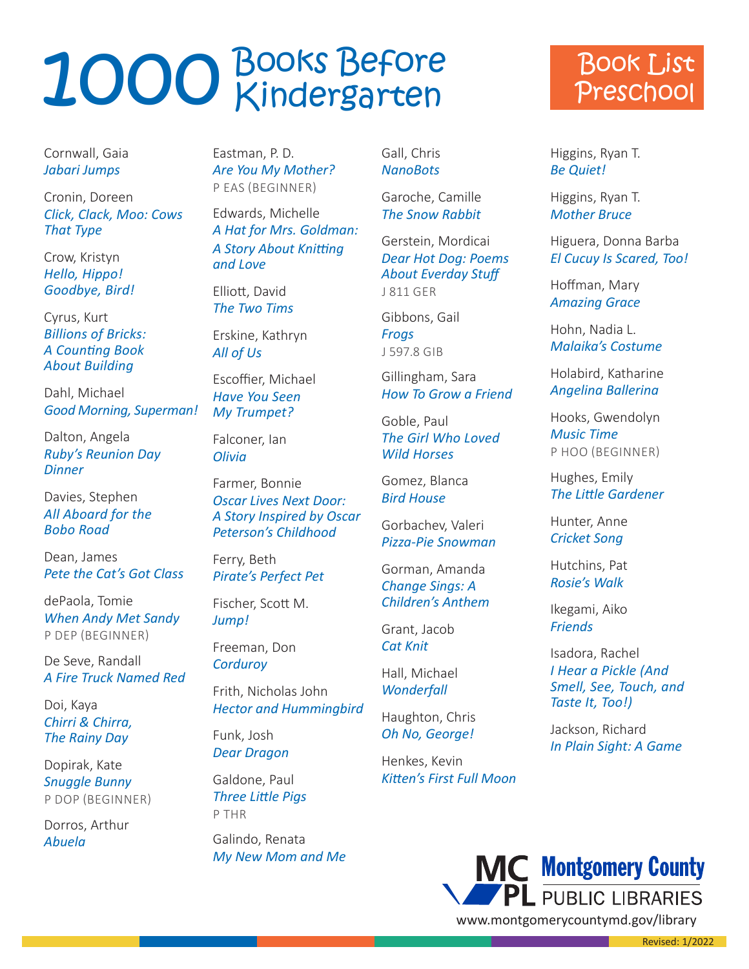Cornwall, Gaia *Jabari Jumps*

Cronin, Doreen *Click, Clack, Moo: Cows That Type*

Crow, Kristyn *Hello, Hippo! Goodbye, Bird!*

Cyrus, Kurt *Billions of Bricks: A Counting Book About Building*

Dahl, Michael *Good Morning, Superman!*

Dalton, Angela *Ruby's Reunion Day Dinner*

Davies, Stephen *All Aboard for the Bobo Road*

Dean, James *Pete the Cat's Got Class*

dePaola, Tomie *When Andy Met Sandy* P DEP (BEGINNER)

De Seve, Randall *A Fire Truck Named Red*

Doi, Kaya *Chirri & Chirra, The Rainy Day*

Dopirak, Kate *Snuggle Bunny* P DOP (BEGINNER)

Dorros, Arthur *Abuela*

Eastman, P. D. *Are You My Mother?* P EAS (BEGINNER)

Edwards, Michelle *A Hat for Mrs. Goldman: A Story About Knitting and Love*

Elliott, David *The Two Tims*

Erskine, Kathryn *All of Us*

Escoffier, Michael *Have You Seen My Trumpet?*

Falconer, Ian *Olivia*

Farmer, Bonnie *Oscar Lives Next Door: A Story Inspired by Oscar Peterson's Childhood*

Ferry, Beth *Pirate's Perfect Pet*

Fischer, Scott M. *Jump!*

Freeman, Don *Corduroy*

Frith, Nicholas John *Hector and Hummingbird*

Funk, Josh *Dear Dragon*

Galdone, Paul *Three Little Pigs*  P THR

Galindo, Renata *My New Mom and Me* Gall, Chris *NanoBots*

Garoche, Camille *The Snow Rabbit*

Gerstein, Mordicai *Dear Hot Dog: Poems About Everday Stuff* J 811 GER

Gibbons, Gail

*Frogs* J 597.8 GIB

Gillingham, Sara *How To Grow a Friend*

Goble, Paul *The Girl Who Loved Wild Horses*

Gomez, Blanca *Bird House*

Gorbachev, Valeri *Pizza-Pie Snowman*

Gorman, Amanda *Change Sings: A Children's Anthem*

Grant, Jacob *Cat Knit*

Hall, Michael *Wonderfall*

Haughton, Chris *Oh No, George!*

Henkes, Kevin *Kitten's First Full Moon*

#### Book List Preschool

Higgins, Ryan T. *Be Quiet!*

Higgins, Ryan T. *Mother Bruce*

Higuera, Donna Barba *El Cucuy Is Scared, Too!*

Hoffman, Mary *Amazing Grace*

Hohn, Nadia L. *Malaika's Costume*

Holabird, Katharine *Angelina Ballerina*

Hooks, Gwendolyn *Music Time* P HOO (BEGINNER)

Hughes, Emily *The Little Gardener*

Hunter, Anne *Cricket Song*

Hutchins, Pat *Rosie's Walk*

Ikegami, Aiko *Friends*

Isadora, Rachel *I Hear a Pickle (And Smell, See, Touch, and Taste It, Too!)*

Jackson, Richard *In Plain Sight: A Game*

Revised: 1/2022



and the state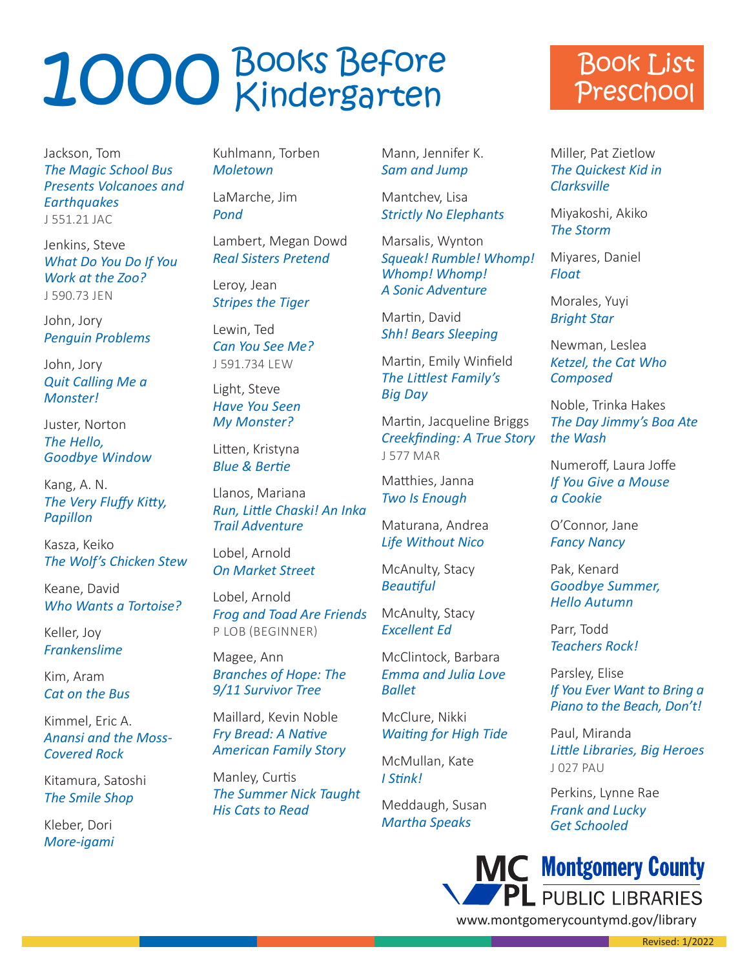### Book List Preschool

Jackson, Tom *The Magic School Bus Presents Volcanoes and Earthquakes* J 551.21 JAC

Jenkins, Steve *What Do You Do If You Work at the Zoo?* J 590.73 JEN

John, Jory *Penguin Problems*

John, Jory *Quit Calling Me a Monster!*

Juster, Norton *The Hello, Goodbye Window*

Kang, A. N. *The Very Fluffy Kitty, Papillon*

Kasza, Keiko *The Wolf's Chicken Stew*

Keane, David *Who Wants a Tortoise?*

Keller, Joy *Frankenslime* 

Kim, Aram *Cat on the Bus*

Kimmel, Eric A. *Anansi and the Moss-Covered Rock*

Kitamura, Satoshi *The Smile Shop*

Kleber, Dori *More-igami*

Kuhlmann, Torben *Moletown*

LaMarche, Jim *Pond*

Lambert, Megan Dowd *Real Sisters Pretend*

Leroy, Jean *Stripes the Tiger*

Lewin, Ted *Can You See Me?* J 591.734 LEW

Light, Steve *Have You Seen My Monster?*

Litten, Kristyna *Blue & Bertie*

Llanos, Mariana *Run, Little Chaski! An Inka Trail Adventure*

Lobel, Arnold *On Market Street*

Lobel, Arnold *Frog and Toad Are Friends* P LOB (BEGINNER)

Magee, Ann *Branches of Hope: The 9/11 Survivor Tree*

Maillard, Kevin Noble *Fry Bread: A Native American Family Story*

Manley, Curtis *The Summer Nick Taught His Cats to Read*

Mann, Jennifer K. *Sam and Jump*

Mantchev, Lisa *Strictly No Elephants*

Marsalis, Wynton *Squeak! Rumble! Whomp! Whomp! Whomp! A Sonic Adventure*

Martin, David *Shh! Bears Sleeping*

Martin, Emily Winfield *The Littlest Family's Big Day*

Martin, Jacqueline Briggs *Creekfinding: A True Story* J 577 MAR

Matthies, Janna *Two Is Enough*

Maturana, Andrea *Life Without Nico*

McAnulty, Stacy *Beautiful*

McAnulty, Stacy *Excellent Ed*

McClintock, Barbara *Emma and Julia Love Ballet*

McClure, Nikki *Waiting for High Tide*

McMullan, Kate *I Stink!*

Meddaugh, Susan *Martha Speaks*

Miller, Pat Zietlow *The Quickest Kid in Clarksville*

Miyakoshi, Akiko *The Storm*

Miyares, Daniel *Float*

Morales, Yuyi *Bright Star*

Newman, Leslea *Ketzel, the Cat Who Composed*

Noble, Trinka Hakes *The Day Jimmy's Boa Ate the Wash*

Numeroff, Laura Joffe *If You Give a Mouse a Cookie*

O'Connor, Jane *Fancy Nancy*

Pak, Kenard *Goodbye Summer, Hello Autumn*

Parr, Todd *Teachers Rock!*

Parsley, Elise *If You Ever Want to Bring a Piano to the Beach, Don't!*

Paul, Miranda *Little Libraries, Big Heroes* J 027 PAU

Perkins, Lynne Rae *Frank and Lucky Get Schooled*

**State State State** 



www.montgomerycountymd.gov/library